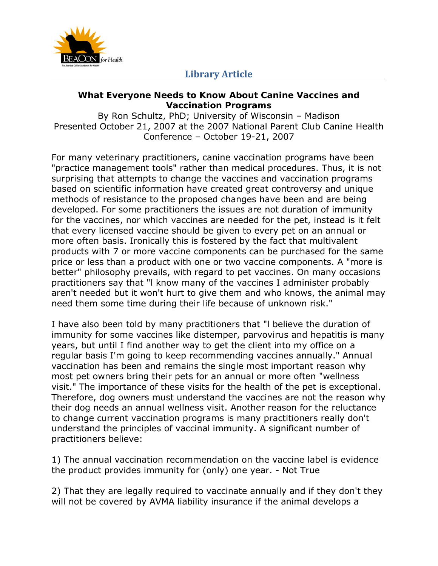

#### **What Everyone Needs to Know About Canine Vaccines and Vaccination Programs**

By Ron Schultz, PhD; University of Wisconsin – Madison Presented October 21, 2007 at the 2007 National Parent Club Canine Health Conference – October 19-21, 2007

For many veterinary practitioners, canine vaccination programs have been "practice management tools" rather than medical procedures. Thus, it is not surprising that attempts to change the vaccines and vaccination programs based on scientific information have created great controversy and unique methods of resistance to the proposed changes have been and are being developed. For some practitioners the issues are not duration of immunity for the vaccines, nor which vaccines are needed for the pet, instead is it felt that every licensed vaccine should be given to every pet on an annual or more often basis. Ironically this is fostered by the fact that multivalent products with 7 or more vaccine components can be purchased for the same price or less than a product with one or two vaccine components. A "more is better" philosophy prevails, with regard to pet vaccines. On many occasions practitioners say that "l know many of the vaccines I administer probably aren't needed but it won't hurt to give them and who knows, the animal may need them some time during their life because of unknown risk."

I have also been told by many practitioners that "l believe the duration of immunity for some vaccines like distemper, parvovirus and hepatitis is many years, but until I find another way to get the client into my office on a regular basis I'm going to keep recommending vaccines annually." Annual vaccination has been and remains the single most important reason why most pet owners bring their pets for an annual or more often "wellness visit." The importance of these visits for the health of the pet is exceptional. Therefore, dog owners must understand the vaccines are not the reason why their dog needs an annual wellness visit. Another reason for the reluctance to change current vaccination programs is many practitioners really don't understand the principles of vaccinal immunity. A significant number of practitioners believe:

1) The annual vaccination recommendation on the vaccine label is evidence the product provides immunity for (only) one year. - Not True

2) That they are legally required to vaccinate annually and if they don't they will not be covered by AVMA liability insurance if the animal develops a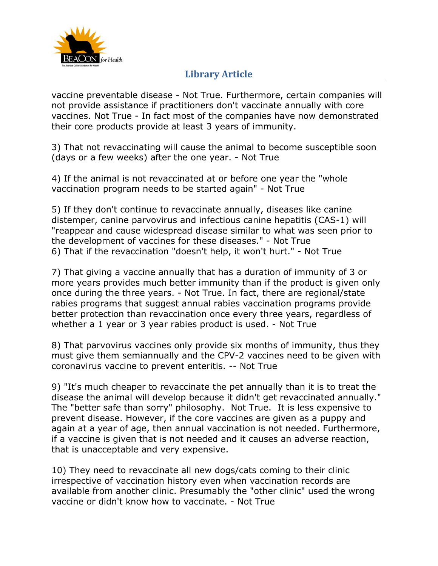

vaccine preventable disease - Not True. Furthermore, certain companies will not provide assistance if practitioners don't vaccinate annually with core vaccines. Not True - In fact most of the companies have now demonstrated their core products provide at least 3 years of immunity.

3) That not revaccinating will cause the animal to become susceptible soon (days or a few weeks) after the one year. - Not True

4) If the animal is not revaccinated at or before one year the "whole vaccination program needs to be started again" - Not True

5) If they don't continue to revaccinate annually, diseases like canine distemper, canine parvovirus and infectious canine hepatitis (CAS-1) will "reappear and cause widespread disease similar to what was seen prior to the development of vaccines for these diseases." - Not True 6) That if the revaccination "doesn't help, it won't hurt." - Not True

7) That giving a vaccine annually that has a duration of immunity of 3 or more years provides much better immunity than if the product is given only once during the three years. - Not True. In fact, there are regional/state rabies programs that suggest annual rabies vaccination programs provide better protection than revaccination once every three years, regardless of whether a 1 year or 3 year rabies product is used. - Not True

8) That parvovirus vaccines only provide six months of immunity, thus they must give them semiannually and the CPV-2 vaccines need to be given with coronavirus vaccine to prevent enteritis. -- Not True

9) "It's much cheaper to revaccinate the pet annually than it is to treat the disease the animal will develop because it didn't get revaccinated annually." The "better safe than sorry" philosophy. Not True. It is less expensive to prevent disease. However, if the core vaccines are given as a puppy and again at a year of age, then annual vaccination is not needed. Furthermore, if a vaccine is given that is not needed and it causes an adverse reaction, that is unacceptable and very expensive.

10) They need to revaccinate all new dogs/cats coming to their clinic irrespective of vaccination history even when vaccination records are available from another clinic. Presumably the "other clinic" used the wrong vaccine or didn't know how to vaccinate. - Not True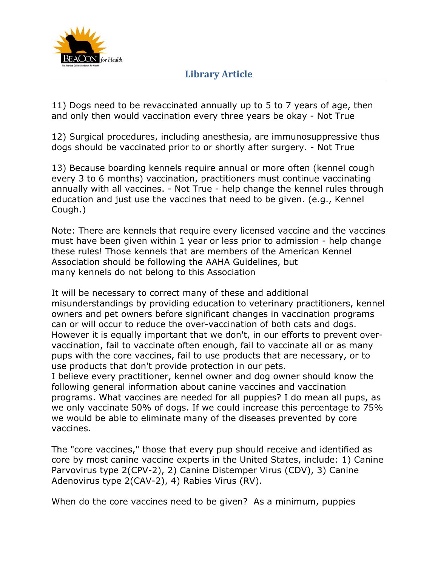

11) Dogs need to be revaccinated annually up to 5 to 7 years of age, then and only then would vaccination every three years be okay - Not True

12) Surgical procedures, including anesthesia, are immunosuppressive thus dogs should be vaccinated prior to or shortly after surgery. - Not True

13) Because boarding kennels require annual or more often (kennel cough every 3 to 6 months) vaccination, practitioners must continue vaccinating annually with all vaccines. - Not True - help change the kennel rules through education and just use the vaccines that need to be given. (e.g., Kennel Cough.)

Note: There are kennels that require every licensed vaccine and the vaccines must have been given within 1 year or less prior to admission - help change these rules! Those kennels that are members of the American Kennel Association should be following the AAHA Guidelines, but many kennels do not belong to this Association

It will be necessary to correct many of these and additional misunderstandings by providing education to veterinary practitioners, kennel owners and pet owners before significant changes in vaccination programs can or will occur to reduce the over-vaccination of both cats and dogs. However it is equally important that we don't, in our efforts to prevent overvaccination, fail to vaccinate often enough, fail to vaccinate all or as many pups with the core vaccines, fail to use products that are necessary, or to use products that don't provide protection in our pets.

I believe every practitioner, kennel owner and dog owner should know the following general information about canine vaccines and vaccination programs. What vaccines are needed for all puppies? I do mean all pups, as we only vaccinate 50% of dogs. If we could increase this percentage to 75% we would be able to eliminate many of the diseases prevented by core vaccines.

The "core vaccines," those that every pup should receive and identified as core by most canine vaccine experts in the United States, include: 1) Canine Parvovirus type 2(CPV-2), 2) Canine Distemper Virus (CDV), 3) Canine Adenovirus type 2(CAV-2), 4) Rabies Virus (RV).

When do the core vaccines need to be given? As a minimum, puppies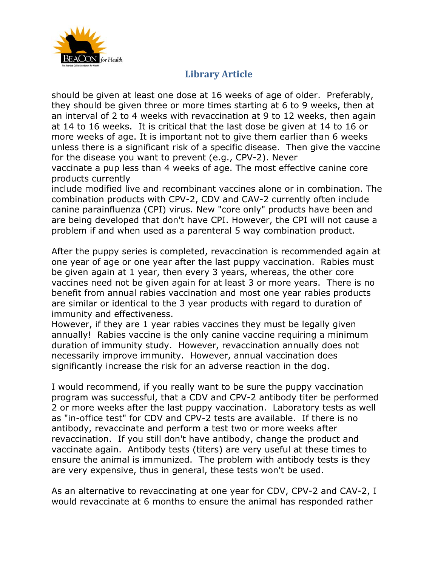

should be given at least one dose at 16 weeks of age of older. Preferably, they should be given three or more times starting at 6 to 9 weeks, then at an interval of 2 to 4 weeks with revaccination at 9 to 12 weeks, then again at 14 to 16 weeks. It is critical that the last dose be given at 14 to 16 or more weeks of age. It is important not to give them earlier than 6 weeks unless there is a significant risk of a specific disease. Then give the vaccine for the disease you want to prevent (e.g., CPV-2). Never

vaccinate a pup less than 4 weeks of age. The most effective canine core products currently

include modified live and recombinant vaccines alone or in combination. The combination products with CPV-2, CDV and CAV-2 currently often include canine parainfluenza (CPI) virus. New "core only" products have been and are being developed that don't have CPI. However, the CPI will not cause a problem if and when used as a parenteral 5 way combination product.

After the puppy series is completed, revaccination is recommended again at one year of age or one year after the last puppy vaccination. Rabies must be given again at 1 year, then every 3 years, whereas, the other core vaccines need not be given again for at least 3 or more years. There is no benefit from annual rabies vaccination and most one year rabies products are similar or identical to the 3 year products with regard to duration of immunity and effectiveness.

However, if they are 1 year rabies vaccines they must be legally given annually! Rabies vaccine is the only canine vaccine requiring a minimum duration of immunity study. However, revaccination annually does not necessarily improve immunity. However, annual vaccination does significantly increase the risk for an adverse reaction in the dog.

I would recommend, if you really want to be sure the puppy vaccination program was successful, that a CDV and CPV-2 antibody titer be performed 2 or more weeks after the last puppy vaccination. Laboratory tests as well as "in-office test" for CDV and CPV-2 tests are available. If there is no antibody, revaccinate and perform a test two or more weeks after revaccination. If you still don't have antibody, change the product and vaccinate again. Antibody tests (titers) are very useful at these times to ensure the animal is immunized. The problem with antibody tests is they are very expensive, thus in general, these tests won't be used.

As an alternative to revaccinating at one year for CDV, CPV-2 and CAV-2, I would revaccinate at 6 months to ensure the animal has responded rather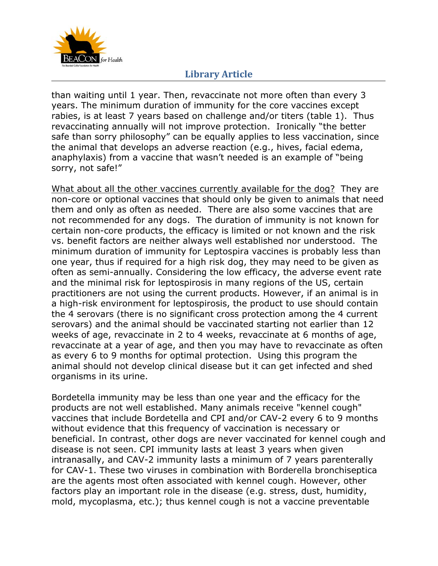

than waiting until 1 year. Then, revaccinate not more often than every 3 years. The minimum duration of immunity for the core vaccines except rabies, is at least 7 years based on challenge and/or titers (table 1). Thus revaccinating annually will not improve protection. Ironically "the better safe than sorry philosophy" can be equally applies to less vaccination, since the animal that develops an adverse reaction (e.g., hives, facial edema, anaphylaxis) from a vaccine that wasn't needed is an example of "being sorry, not safe!"

What about all the other vaccines currently available for the dog? They are non-core or optional vaccines that should only be given to animals that need them and only as often as needed. There are also some vaccines that are not recommended for any dogs. The duration of immunity is not known for certain non-core products, the efficacy is limited or not known and the risk vs. benefit factors are neither always well established nor understood. The minimum duration of immunity for *Leptospira* vaccines is probably less than one year, thus if required for a high risk dog, they may need to be given as often as semi-annually. Considering the low efficacy, the adverse event rate and the minimal risk for leptospirosis in many regions of the US, certain practitioners are not using the current products. However, if an animal is in a high-risk environment for leptospirosis, the product to use should contain the 4 serovars (there is no significant cross protection among the 4 current serovars) and the animal should be vaccinated starting not earlier than 12 weeks of age, revaccinate in 2 to 4 weeks, revaccinate at 6 months of age, revaccinate at a year of age, and then you may have to revaccinate as often as every 6 to 9 months for optimal protection. Using this program the animal should not develop clinical disease but it can get infected and shed organisms in its urine.

Bordetella immunity may be less than one year and the efficacy for the products are not well established. Many animals receive "kennel cough" vaccines that include Bordetella and CPI and/or CAV-2 every 6 to 9 months without evidence that this frequency of vaccination is necessary or beneficial. In contrast, other dogs are never vaccinated for kennel cough and disease is not seen. CPI immunity lasts at least 3 years when given intranasally, and CAV-2 immunity lasts a minimum of 7 years parenterally for CAV-1. These two viruses in combination with *Borderella bronchiseptica* are the agents most often associated with kennel cough. However, other factors play an important role in the disease (e.g. stress, dust, humidity, mold, mycoplasma, etc.); thus kennel cough is not a vaccine preventable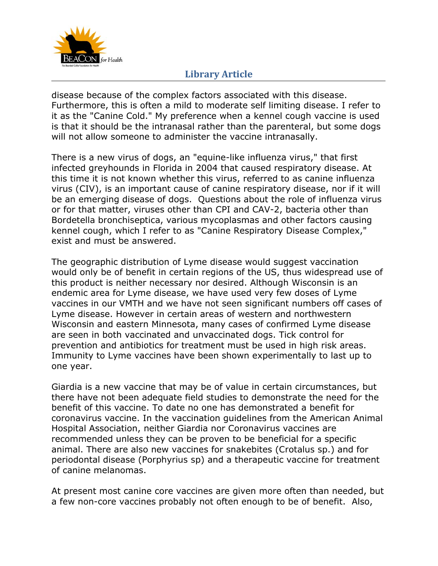

disease because of the complex factors associated with this disease. Furthermore, this is often a mild to moderate self limiting disease. I refer to it as the "Canine Cold." My preference when a kennel cough vaccine is used is that it should be the intranasal rather than the parenteral, but some dogs will not allow someone to administer the vaccine intranasally.

There is a new virus of dogs, an "equine-like influenza virus," that first infected greyhounds in Florida in 2004 that caused respiratory disease. At this time it is not known whether this virus, referred to as canine influenza virus (CIV), is an important cause of canine respiratory disease, nor if it will be an emerging disease of dogs. Questions about the role of influenza virus or for that matter, viruses other than CPI and CAV-2, bacteria other than *Bordetella bronchiseptica*, various mycoplasmas and other factors causing kennel cough, which I refer to as "Canine Respiratory Disease Complex," exist and must be answered.

The geographic distribution of Lyme disease would suggest vaccination would only be of benefit in certain regions of the US, thus widespread use of this product is neither necessary nor desired. Although Wisconsin is an endemic area for Lyme disease, we have used very few doses of Lyme vaccines in our VMTH and we have not seen significant numbers off cases of Lyme disease. However in certain areas of western and northwestern Wisconsin and eastern Minnesota, many cases of confirmed Lyme disease are seen in both vaccinated and unvaccinated dogs. Tick control for prevention and antibiotics for treatment must be used in high risk areas. Immunity to Lyme vaccines have been shown experimentally to last up to one year.

Giardia is a new vaccine that may be of value in certain circumstances, but there have not been adequate field studies to demonstrate the need for the benefit of this vaccine. To date no one has demonstrated a benefit for coronavirus vaccine. In the vaccination guidelines from the American Animal Hospital Association, neither Giardia nor Coronavirus vaccines are recommended unless they can be proven to be beneficial for a specific animal. There are also new vaccines for snakebites (*Crotalus sp*.) and for periodontal disease (*Porphyrius sp*) and a therapeutic vaccine for treatment of canine melanomas.

At present most canine core vaccines are given more often than needed, but a few non-core vaccines probably not often enough to be of benefit. Also,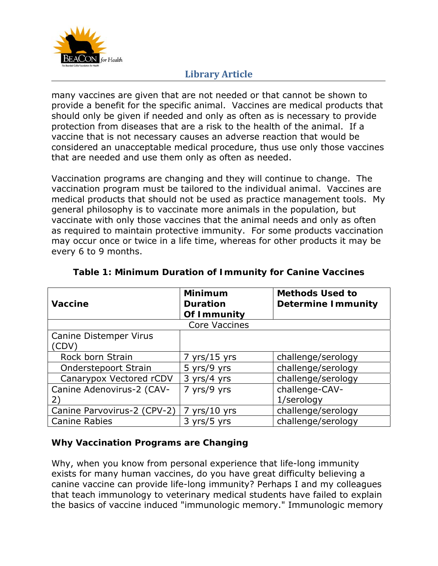

many vaccines are given that are not needed or that cannot be shown to provide a benefit for the specific animal. Vaccines are medical products that should only be given if needed and only as often as is necessary to provide protection from diseases that are a risk to the health of the animal. If a vaccine that is not necessary causes an adverse reaction that would be considered an unacceptable medical procedure, thus use only those vaccines that are needed and use them only as often as needed.

Vaccination programs are changing and they will continue to change. The vaccination program must be tailored to the individual animal. Vaccines are medical products that should not be used as practice management tools. My general philosophy is to vaccinate more animals in the population, but vaccinate with only those vaccines that the animal needs and only as often as required to maintain protective immunity. For some products vaccination may occur once or twice in a life time, whereas for other products it may be every 6 to 9 months.

| <b>Vaccine</b>                        | <b>Minimum</b><br><b>Duration</b><br>Of Immunity | <b>Methods Used to</b><br><b>Determine Immunity</b> |
|---------------------------------------|--------------------------------------------------|-----------------------------------------------------|
| <b>Core Vaccines</b>                  |                                                  |                                                     |
| <b>Canine Distemper Virus</b><br>CDV) |                                                  |                                                     |
| Rock born Strain                      | $7$ yrs/15 yrs                                   | challenge/serology                                  |
| Onderstepoort Strain                  | 5 yrs/9 yrs                                      | challenge/serology                                  |
| Canarypox Vectored rCDV               | 3 yrs/4 yrs                                      | challenge/serology                                  |
| Canine Adenovirus-2 (CAV-<br>2)       | 7 yrs/9 yrs                                      | challenge-CAV-<br>1/serology                        |
| Canine Parvovirus-2 (CPV-2)           | $7$ yrs/10 yrs                                   | challenge/serology                                  |
| <b>Canine Rabies</b>                  | 3 yrs/5 yrs                                      | challenge/serology                                  |

#### **Table 1: Minimum Duration of Immunity for Canine Vaccines**

#### **Why Vaccination Programs are Changing**

Why, when you know from personal experience that life-long immunity exists for many human vaccines, do you have great difficulty believing a canine vaccine can provide life-long immunity? Perhaps I and my colleagues that teach immunology to veterinary medical students have failed to explain the basics of vaccine induced "immunologic memory." Immunologic memory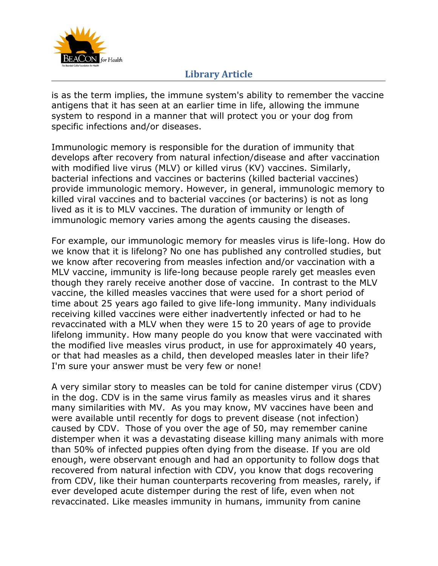

is as the term implies, the immune system's ability to remember the vaccine antigens that it has seen at an earlier time in life, allowing the immune system to respond in a manner that will protect you or your dog from specific infections and/or diseases.

Immunologic memory is responsible for the duration of immunity that develops after recovery from natural infection/disease and after vaccination with modified live virus (MLV) or killed virus (KV) vaccines. Similarly, bacterial infections and vaccines or bacterins (killed bacterial vaccines) provide immunologic memory. However, in general, immunologic memory to killed viral vaccines and to bacterial vaccines (or bacterins) is not as long lived as it is to MLV vaccines. The duration of immunity or length of immunologic memory varies among the agents causing the diseases.

For example, our immunologic memory for measles virus is life-long. How do we know that it is lifelong? No one has published any controlled studies, but we know after recovering from measles infection and/or vaccination with a MLV vaccine, immunity is life-long because people rarely get measles even though they rarely receive another dose of vaccine. In contrast to the MLV vaccine, the killed measles vaccines that were used for a short period of time about 25 years ago failed to give life-long immunity. Many individuals receiving killed vaccines were either inadvertently infected or had to he revaccinated with a MLV when they were 15 to 20 years of age to provide lifelong immunity. How many people do you know that were vaccinated with the modified live measles virus product, in use for approximately 40 years, or that had measles as a child, then developed measles later in their life? I'm sure your answer must be very few or none!

A very similar story to measles can be told for canine distemper virus (CDV) in the dog. CDV is in the same virus family as measles virus and it shares many similarities with MV. As you may know, MV vaccines have been and were available until recently for dogs to prevent disease (not infection) caused by CDV. Those of you over the age of 50, may remember canine distemper when it was a devastating disease killing many animals with more than 50% of infected puppies often dying from the disease. If you are old enough, were observant enough and had an opportunity to follow dogs that recovered from natural infection with CDV, you know that dogs recovering from CDV, like their human counterparts recovering from measles, rarely, if ever developed acute distemper during the rest of life, even when not revaccinated. Like measles immunity in humans, immunity from canine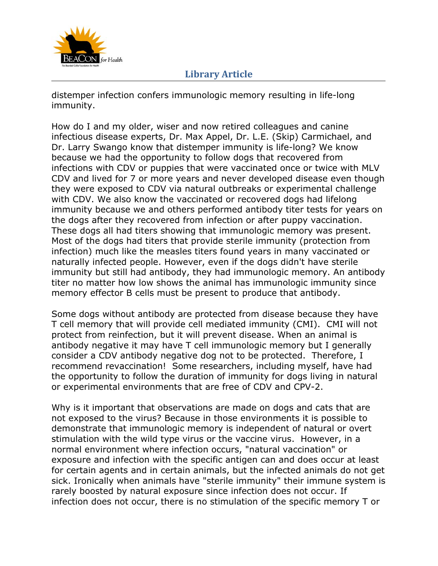

distemper infection confers immunologic memory resulting in life-long immunity.

How do I and my older, wiser and now retired colleagues and canine infectious disease experts, Dr. Max Appel, Dr. L.E. (Skip) Carmichael, and Dr. Larry Swango know that distemper immunity is life-long? We know because we had the opportunity to follow dogs that recovered from infections with CDV or puppies that were vaccinated once or twice with MLV CDV and lived for 7 or more years and never developed disease even though they were exposed to CDV via natural outbreaks or experimental challenge with CDV. We also know the vaccinated or recovered dogs had lifelong immunity because we and others performed antibody titer tests for years on the dogs after they recovered from infection or after puppy vaccination. These dogs all had titers showing that immunologic memory was present. Most of the dogs had titers that provide sterile immunity (protection from infection) much like the measles titers found years in many vaccinated or naturally infected people. However, even if the dogs didn't have sterile immunity but still had antibody, they had immunologic memory. An antibody titer no matter how low shows the animal has immunologic immunity since memory effector B cells must be present to produce that antibody.

Some dogs without antibody are protected from disease because they have T cell memory that will provide cell mediated immunity (CMI). CMI will not protect from reinfection, but it will prevent disease. When an animal is antibody negative it may have T cell immunologic memory but I generally consider a CDV antibody negative dog not to be protected. Therefore, I recommend revaccination! Some researchers, including myself, have had the opportunity to follow the duration of immunity for dogs living in natural or experimental environments that are free of CDV and CPV-2.

Why is it important that observations are made on dogs and cats that are not exposed to the virus? Because in those environments it is possible to demonstrate that immunologic memory is independent of natural or overt stimulation with the wild type virus or the vaccine virus. However, in a normal environment where infection occurs, "natural vaccination" or exposure and infection with the specific antigen can and does occur at least for certain agents and in certain animals, but the infected animals do not get sick. Ironically when animals have "sterile immunity" their immune system is rarely boosted by natural exposure since infection does not occur. If infection does not occur, there is no stimulation of the specific memory T or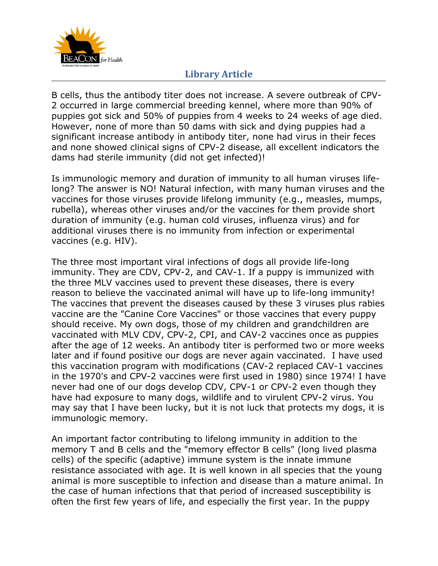

B cells, thus the antibody titer does not increase. A severe outbreak of CPV-2 occurred in large commercial breeding kennel, where more than 90% of puppies got sick and 50% of puppies from 4 weeks to 24 weeks of age died. However, none of more than 50 dams with sick and dying puppies had a significant increase antibody in antibody titer, none had virus in their feces and none showed clinical signs of CPV-2 disease, all excellent indicators the dams had sterile immunity (did not get infected)!

Is immunologic memory and duration of immunity to all human viruses lifelong? The answer is NO! Natural infection, with many human viruses and the vaccines for those viruses provide lifelong immunity (e.g., measles, mumps, rubella), whereas other viruses and/or the vaccines for them provide short duration of immunity (e.g. human cold viruses, influenza virus) and for additional viruses there is no immunity from infection or experimental vaccines (e.g. HIV).

The three most important viral infections of dogs all provide life-long immunity. They are CDV, CPV-2, and CAV-1. If a puppy is immunized with the three MLV vaccines used to prevent these diseases, there is every reason to believe the vaccinated animal will have up to life-long immunity! The vaccines that prevent the diseases caused by these 3 viruses plus rabies vaccine are the "Canine Core Vaccines" or those vaccines that every puppy should receive. My own dogs, those of my children and grandchildren are vaccinated with MLV CDV, CPV-2, CPI, and CAV-2 vaccines once as puppies after the age of 12 weeks. An antibody titer is performed two or more weeks later and if found positive our dogs are never again vaccinated. I have used this vaccination program with modifications (CAV-2 replaced CAV-1 vaccines in the 1970's and CPV-2 vaccines were first used in 1980) since 1974! I have never had one of our dogs develop CDV, CPV-1 or CPV-2 even though they have had exposure to many dogs, wildlife and to virulent CPV-2 virus. You may say that I have been lucky, but it is not luck that protects my dogs, it is immunologic memory.

An important factor contributing to lifelong immunity in addition to the memory T and B cells and the "memory effector B cells" (long lived plasma cells) of the specific (adaptive) immune system is the innate immune resistance associated with age. It is well known in all species that the young animal is more susceptible to infection and disease than a mature animal. In the case of human infections that that period of increased susceptibility is often the first few years of life, and especially the first year. In the puppy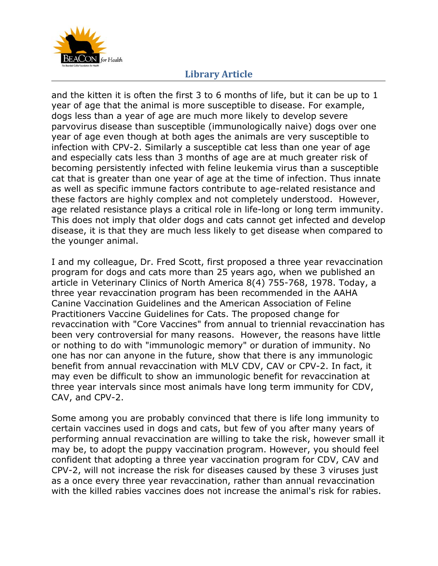

and the kitten it is often the first 3 to 6 months of life, but it can be up to 1 year of age that the animal is more susceptible to disease. For example, dogs less than a year of age are much more likely to develop severe parvovirus disease than susceptible (immunologically naive) dogs over one year of age even though at both ages the animals are very susceptible to infection with CPV-2. Similarly a susceptible cat less than one year of age and especially cats less than 3 months of age are at much greater risk of becoming persistently infected with feline leukemia virus than a susceptible cat that is greater than one year of age at the time of infection. Thus innate as well as specific immune factors contribute to age-related resistance and these factors are highly complex and not completely understood. However, age related resistance plays a critical role in life-long or long term immunity. This does not imply that older dogs and cats cannot get infected and develop disease, it is that they are much less likely to get disease when compared to the younger animal.

I and my colleague, Dr. Fred Scott, first proposed a three year revaccination program for dogs and cats more than 25 years ago, when we published an article in Veterinary Clinics of North America 8(4) 755-768, 1978. Today, a three year revaccination program has been recommended in the AAHA Canine Vaccination Guidelines and the American Association of Feline Practitioners Vaccine Guidelines for Cats. The proposed change for revaccination with "Core Vaccines" from annual to triennial revaccination has been very controversial for many reasons. However, the reasons have little or nothing to do with "immunologic memory" or duration of immunity. No one has nor can anyone in the future, show that there is any immunologic benefit from annual revaccination with MLV CDV, CAV or CPV-2. In fact, it may even be difficult to show an immunologic benefit for revaccination at three year intervals since most animals have long term immunity for CDV, CAV, and CPV-2.

Some among you are probably convinced that there is life long immunity to certain vaccines used in dogs and cats, but few of you after many years of performing annual revaccination are willing to take the risk, however small it may be, to adopt the puppy vaccination program. However, you should feel confident that adopting a three year vaccination program for CDV, CAV and CPV-2, will not increase the risk for diseases caused by these 3 viruses just as a once every three year revaccination, rather than annual revaccination with the killed rabies vaccines does not increase the animal's risk for rabies.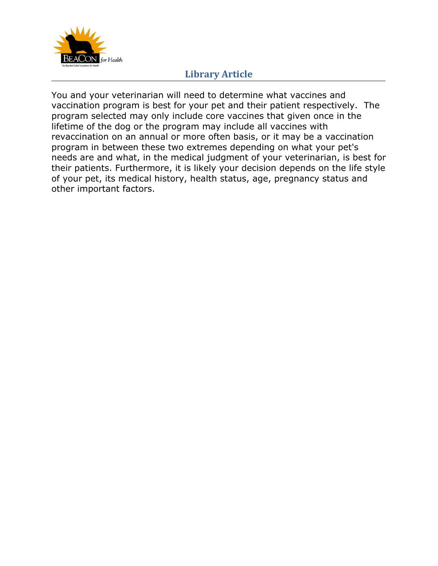

You and your veterinarian will need to determine what vaccines and vaccination program is best for your pet and their patient respectively. The program selected may only include core vaccines that given once in the lifetime of the dog or the program may include all vaccines with revaccination on an annual or more often basis, or it may be a vaccination program in between these two extremes depending on what your pet's needs are and what, in the medical judgment of your veterinarian, is best for their patients. Furthermore, it is likely your decision depends on the life style of your pet, its medical history, health status, age, pregnancy status and other important factors.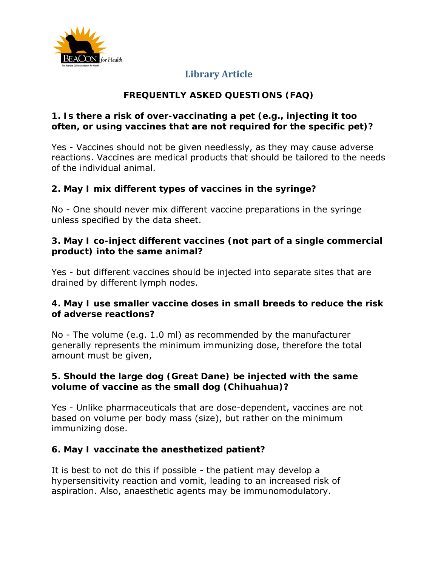

# **FREQUENTLY ASKED QUESTIONS (FAQ)**

#### **1. Is there a risk of over-vaccinating a pet (e.g., injecting it too often, or using vaccines that are not required for the specific pet)?**

Yes - Vaccines should not be given needlessly, as they may cause adverse reactions. Vaccines are medical products that should be tailored to the needs of the individual animal.

### **2. May I mix different types of vaccines in the syringe?**

No - One should never mix different vaccine preparations in the syringe unless specified by the data sheet.

### **3. May I co-inject different vaccines (not part of a single commercial product) into the same animal?**

Yes - but different vaccines should be injected into separate sites that are drained by different lymph nodes.

### **4. May I use smaller vaccine doses in small breeds to reduce the risk of adverse reactions?**

No - The volume (e.g. 1.0 ml) as recommended by the manufacturer generally represents the minimum immunizing dose, therefore the total amount must be given,

### **5. Should the large dog (Great Dane) be injected with the same volume of vaccine as the small dog (Chihuahua)?**

Yes - Unlike pharmaceuticals that are dose-dependent, vaccines are not based on volume per body mass (size), but rather on the minimum immunizing dose.

#### **6. May I vaccinate the anesthetized patient?**

It is best to not do this if possible - the patient may develop a hypersensitivity reaction and vomit, leading to an increased risk of aspiration. Also, anaesthetic agents may be immunomodulatory.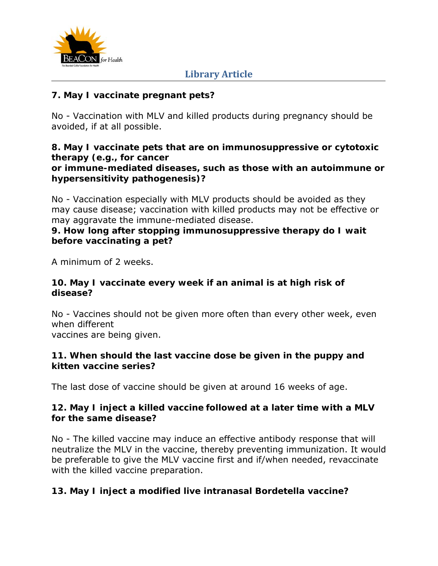

### **7. May I vaccinate pregnant pets?**

No - Vaccination with MLV and killed products during pregnancy should be avoided, if at all possible.

## **8. May I vaccinate pets that are on immunosuppressive or cytotoxic therapy (e.g., for cancer**

#### **or immune-mediated diseases, such as those with an autoimmune or hypersensitivity pathogenesis)?**

No - Vaccination especially with MLV products should be avoided as they may cause disease; vaccination with killed products may not be effective or may aggravate the immune-mediated disease.

#### **9. How long after stopping immunosuppressive therapy do I wait before vaccinating a pet?**

A minimum of 2 weeks.

#### **10. May I vaccinate every week if an animal is at high risk of disease?**

No - Vaccines should not be given more often than every other week, even when different

vaccines are being given.

#### **11. When should the last vaccine dose be given in the puppy and kitten vaccine series?**

The last dose of vaccine should be given at around 16 weeks of age.

### **12. May I inject a killed vaccine followed at a later time with a MLV for the same disease?**

No - The killed vaccine may induce an effective antibody response that will neutralize the MLV in the vaccine, thereby preventing immunization. It would be preferable to give the MLV vaccine first and if/when needed, revaccinate with the killed vaccine preparation.

## **13. May I inject a modified live intranasal** *Bordetella* **vaccine?**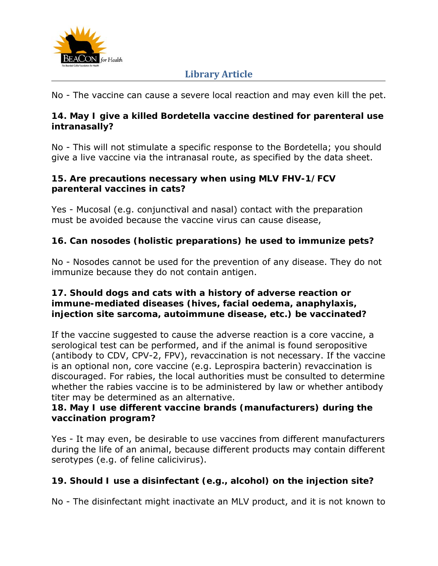

No - The vaccine can cause a severe local reaction and may even kill the pet.

### **14. May I give a killed** *Bordetella* **vaccine destined for parenteral use intranasally?**

No - This will not stimulate a specific response to the *Bordetella*; you should give a live vaccine via the intranasal route, as specified by the data sheet.

#### **15. Are precautions necessary when using MLV FHV-1/FCV parenteral vaccines in cats?**

Yes - Mucosal (e.g. conjunctival and nasal) contact with the preparation must be avoided because the vaccine virus can cause disease,

## **16. Can nosodes (holistic preparations) he used to immunize pets?**

No - Nosodes cannot be used for the prevention of any disease. They do not immunize because they do not contain antigen.

### **17. Should dogs and cats with a history of adverse reaction or immune-mediated diseases (hives, facial oedema, anaphylaxis, injection site sarcoma, autoimmune disease, etc.) be vaccinated?**

If the vaccine suggested to cause the adverse reaction is a core vaccine, a serological test can be performed, and if the animal is found seropositive (antibody to CDV, CPV-2, FPV), revaccination is not necessary. If the vaccine is an optional non, core vaccine (e.g. *Leprospira* bacterin) revaccination is discouraged. For rabies, the local authorities must be consulted to determine whether the rabies vaccine is to be administered by law or whether antibody titer may be determined as an alternative.

### **18. May I use different vaccine brands (manufacturers) during the vaccination program?**

Yes - It may even, be desirable to use vaccines from different manufacturers during the life of an animal, because different products may contain different serotypes (e.g. of feline calicivirus).

## **19. Should I use a disinfectant (e.g., alcohol) on the injection site?**

No - The disinfectant might inactivate an MLV product, and it is not known to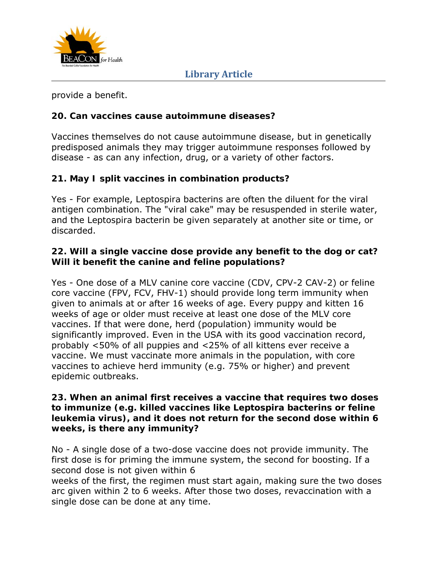

provide a benefit.

## **20. Can vaccines cause autoimmune diseases?**

Vaccines themselves do not cause autoimmune disease, but in genetically predisposed animals they may trigger autoimmune responses followed by disease - as can any infection, drug, or a variety of other factors.

## **21. May I split vaccines in combination products?**

Yes - For example, *Leptospira* bacterins are often the diluent for the viral antigen combination. The "viral cake" may be resuspended in sterile water, and the *Leptospira* bacterin be given separately at another site or time, or discarded.

#### **22. Will a single vaccine dose provide any benefit to the dog or cat? Will it benefit the canine and feline populations?**

Yes - One dose of a MLV canine core vaccine (CDV, CPV-2 CAV-2) or feline core vaccine (FPV, FCV, FHV-1) should provide long term immunity when given to animals at or after 16 weeks of age. Every puppy and kitten 16 weeks of age or older must receive at least one dose of the MLV core vaccines. If that were done, herd (population) immunity would be significantly improved. Even in the USA with its good vaccination record, probably <50% of all puppies and <25% of all kittens ever receive a vaccine. We must vaccinate more animals in the population, with core vaccines to achieve herd immunity (e.g. 75% or higher) and prevent epidemic outbreaks.

#### **23. When an animal first receives a vaccine that requires two doses to immunize (e.g. killed vaccines like** *Leptospira* **bacterins or feline leukemia virus), and it does not return for the second dose within 6 weeks, is there any immunity?**

No - A single dose of a two-dose vaccine does not provide immunity. The first dose is for priming the immune system, the second for boosting. If a second dose is not given within 6

weeks of the first, the regimen must start again, making sure the two doses arc given within 2 to 6 weeks. After those two doses, revaccination with a single dose can be done at any time.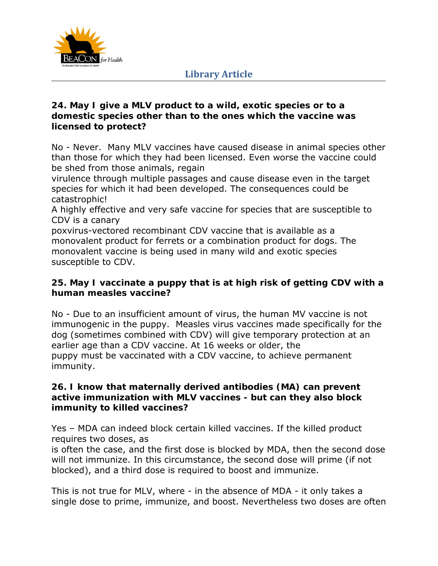

#### **24. May I give a MLV product to a wild, exotic species or to a domestic species other than to the ones which the vaccine was licensed to protect?**

No - Never. Many MLV vaccines have caused disease in animal species other than those for which they had been licensed. Even worse the vaccine could be shed from those animals, regain

virulence through multiple passages and cause disease even in the target species for which it had been developed. The consequences could be catastrophic!

A highly effective and very safe vaccine for species that are susceptible to CDV is a canary

poxvirus-vectored recombinant CDV vaccine that is available as a monovalent product for ferrets or a combination product for dogs. The monovalent vaccine is being used in many wild and exotic species susceptible to CDV.

### **25. May I vaccinate a puppy that is at high risk of getting CDV with a human measles vaccine?**

No - Due to an insufficient amount of virus, the human MV vaccine is not immunogenic in the puppy. Measles virus vaccines made specifically for the dog (sometimes combined with CDV) will give temporary protection at an earlier age than a CDV vaccine. At 16 weeks or older, the puppy must be vaccinated with a CDV vaccine, to achieve permanent immunity.

#### **26. I know that maternally derived antibodies (MA) can prevent active immunization with MLV vaccines - but can they also block immunity to killed vaccines?**

Yes – MDA can indeed block certain killed vaccines. If the killed product requires two doses, as

is often the case, and the first dose is blocked by MDA, then the second dose will not immunize. In this circumstance, the second dose will prime (if not blocked), and a third dose is required to boost and immunize.

This is not true for MLV, where - in the absence of MDA - it only takes a single dose to prime, immunize, and boost. Nevertheless two doses are often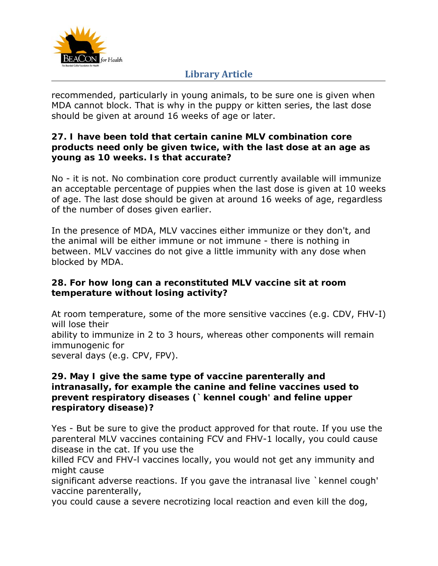

recommended, particularly in young animals, to be sure one is given when MDA cannot block. That is why in the puppy or kitten series, the last dose should be given at around 16 weeks of age or later.

#### **27. I have been told that certain canine MLV combination core products need only be given twice, with the last dose at an age as young as 10 weeks. Is that accurate?**

No - it is not. No combination core product currently available will immunize an acceptable percentage of puppies when the last dose is given at 10 weeks of age. The last dose should be given at around 16 weeks of age, regardless of the number of doses given earlier.

In the presence of MDA, MLV vaccines either immunize or they don't, and the animal will be either immune or not immune - there is nothing in between. MLV vaccines do not give a little immunity with any dose when blocked by MDA.

### **28. For how long can a reconstituted MLV vaccine sit at room temperature without losing activity?**

At room temperature, some of the more sensitive vaccines (e.g. CDV, FHV-I) will lose their ability to immunize in 2 to 3 hours, whereas other components will remain immunogenic for several days (e.g. CPV, FPV).

#### **29. May I give the same type of vaccine parenterally and intranasally, for example the canine and feline vaccines used to prevent respiratory diseases (`kennel cough' and feline upper respiratory disease)?**

Yes - But be sure to give the product approved for that route. If you use the parenteral MLV vaccines containing FCV and FHV-1 locally, you could cause disease in the cat. If you use the

killed FCV and FHV-l vaccines locally, you would not get any immunity and might cause

significant adverse reactions. If you gave the intranasal live `kennel cough' vaccine parenterally,

you could cause a severe necrotizing local reaction and even kill the dog,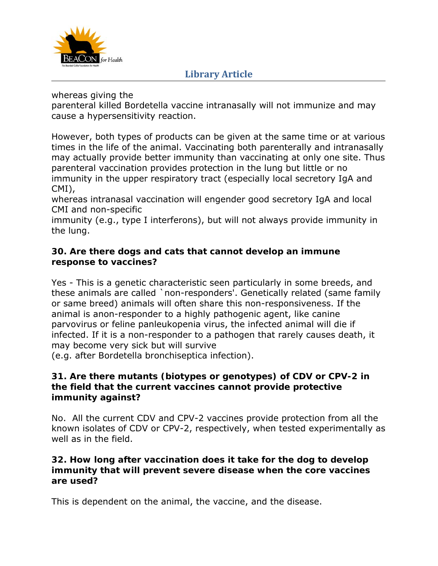

whereas giving the

parenteral killed *Bordetella* vaccine intranasally will not immunize and may cause a hypersensitivity reaction.

However, both types of products can be given at the same time or at various times in the life of the animal. Vaccinating both parenterally and intranasally may actually provide better immunity than vaccinating at only one site. Thus parenteral vaccination provides protection in the lung but little or no immunity in the upper respiratory tract (especially local secretory IgA and CMI),

whereas intranasal vaccination will engender good secretory IgA and local CMI and non-specific

immunity (e.g., type I interferons), but will not always provide immunity in the lung.

### **30. Are there dogs and cats that cannot develop an immune response to vaccines?**

Yes - This is a genetic characteristic seen particularly in some breeds, and these animals are called `non-responders'. Genetically related (same family or same breed) animals will often share this non-responsiveness. If the animal is anon-responder to a highly pathogenic agent, like canine parvovirus or feline panleukopenia virus, the infected animal will die if infected. If it is a non-responder to a pathogen that rarely causes death, it may become very sick but will survive

(e.g. after *Bordetella bronchiseptica* infection).

### **31. Are there mutants (biotypes or genotypes) of CDV or CPV-2 in the field that the current vaccines cannot provide protective immunity against?**

No. All the current CDV and CPV-2 vaccines provide protection from all the known isolates of CDV or CPV-2, respectively, when tested experimentally as well as in the field.

### **32. How long after vaccination does it take for the dog to develop immunity that will prevent severe disease when the core vaccines are used?**

This is dependent on the animal, the vaccine, and the disease.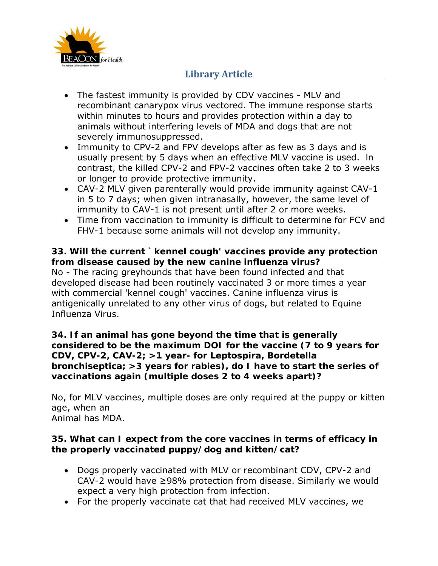

- The fastest immunity is provided by CDV vaccines MLV and recombinant canarypox virus vectored. The immune response starts within minutes to hours and provides protection within a day to animals without interfering levels of MDA and dogs that are not severely immunosuppressed.
- Immunity to CPV-2 and FPV develops after as few as 3 days and is usually present by 5 days when an effective MLV vaccine is used. ln contrast, the killed CPV-2 and FPV-2 vaccines often take 2 to 3 weeks or longer to provide protective immunity.
- CAV-2 MLV given parenterally would provide immunity against CAV-1 in 5 to 7 days; when given intranasally, however, the same level of immunity to CAV-1 is not present until after 2 or more weeks.
- Time from vaccination to immunity is difficult to determine for FCV and FHV-1 because some animals will not develop any immunity.

### **33. Will the current `kennel cough' vaccines provide any protection from disease caused by the new canine influenza virus?**

No - The racing greyhounds that have been found infected and that developed disease had been routinely vaccinated 3 or more times a year with commercial 'kennel cough' vaccines. Canine influenza virus is antigenically unrelated to any other virus of dogs, but related to Equine Influenza Virus.

#### **34. If an animal has gone beyond the time that is generally considered to be the maximum DOI for the vaccine (7 to 9 years for CDV, CPV-2, CAV-2; >1 year- for** *Leptospira, Bordetella bronchiseptica***; >3 years for rabies), do I have to start the series of vaccinations again (multiple doses 2 to 4 weeks apart)?**

No, for MLV vaccines, multiple doses are only required at the puppy or kitten age, when an Animal has MDA.

#### **35. What can I expect from the core vaccines in terms of efficacy in the properly vaccinated puppy/dog and kitten/cat?**

- Dogs properly vaccinated with MLV or recombinant CDV, CPV-2 and CAV-2 would have ≥98% protection from disease. Similarly we would expect a very high protection from infection.
- For the properly vaccinate cat that had received MLV vaccines, we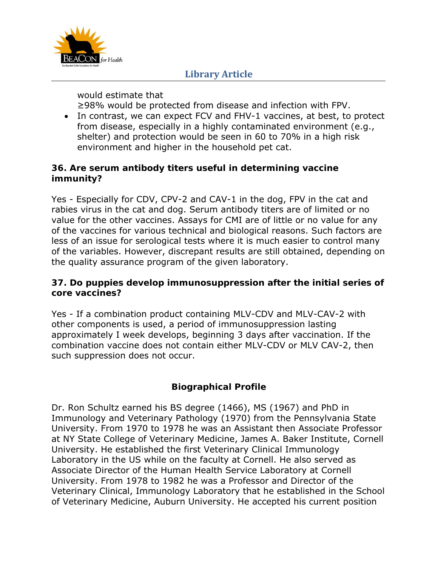

would estimate that

≥98% would be protected from disease and infection with FPV.

• In contrast, we can expect FCV and FHV-1 vaccines, at best, to protect from disease, especially in a highly contaminated environment (e.g., shelter) and protection would be seen in 60 to 70% in a high risk environment and higher in the household pet cat.

## **36. Are serum antibody titers useful in determining vaccine immunity?**

Yes - Especially for CDV, CPV-2 and CAV-1 in the dog, FPV in the cat and rabies virus in the cat and dog. Serum antibody titers are of limited or no value for the other vaccines. Assays for CMI are of little or no value for any of the vaccines for various technical and biological reasons. Such factors are less of an issue for serological tests where it is much easier to control many of the variables. However, discrepant results are still obtained, depending on the quality assurance program of the given laboratory.

### **37. Do puppies develop immunosuppression after the initial series of core vaccines?**

Yes - If a combination product containing MLV-CDV and MLV-CAV-2 with other components is used, a period of immunosuppression lasting approximately I week develops, beginning 3 days after vaccination. If the combination vaccine does not contain either MLV-CDV or MLV CAV-2, then such suppression does not occur.

# **Biographical Profile**

Dr. Ron Schultz earned his BS degree (1466), MS (1967) and PhD in Immunology and Veterinary Pathology (1970) from the Pennsylvania State University. From 1970 to 1978 he was an Assistant then Associate Professor at NY State College of Veterinary Medicine, James A. Baker Institute, Cornell University. He established the first Veterinary Clinical Immunology Laboratory in the US while on the faculty at Cornell. He also served as Associate Director of the Human Health Service Laboratory at Cornell University. From 1978 to 1982 he was a Professor and Director of the Veterinary Clinical, Immunology Laboratory that he established in the School of Veterinary Medicine, Auburn University. He accepted his current position